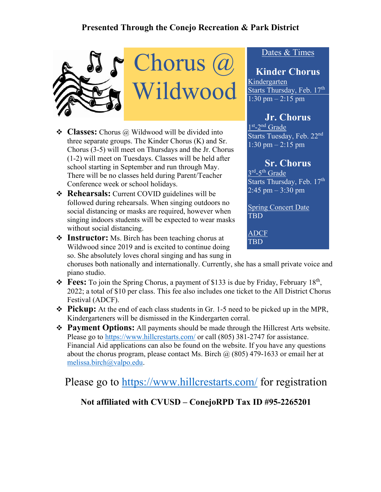# **Presented Through the Conejo Recreation & Park District**





- **Classes:** Chorus @ Wildwood will be divided into three separate groups. The Kinder Chorus (K) and Sr. Chorus (3-5) will meet on Thursdays and the Jr. Chorus (1-2) will meet on Tuesdays. Classes will be held after school starting in September and run through May. There will be no classes held during Parent/Teacher Conference week or school holidays.
- **Rehearsals:** Current COVID guidelines will be followed during rehearsals. When singing outdoors no social distancing or masks are required, however when singing indoors students will be expected to wear masks without social distancing.
- **Instructor:** Ms. Birch has been teaching chorus at Wildwood since 2019 and is excited to continue doing so. She absolutely loves choral singing and has sung in

choruses both nationally and internationally. Currently, she has a small private voice and piano studio.

- $\div$  **Fees:** To join the Spring Chorus, a payment of \$133 is due by Friday, February 18<sup>th</sup>, 2022; a total of \$10 per class. This fee also includes one ticket to the All District Chorus Festival (ADCF).
- **Pickup:** At the end of each class students in Gr. 1-5 need to be picked up in the MPR, Kindergarteners will be dismissed in the Kindergarten corral.
- **Payment Options:** All payments should be made through the Hillcrest Arts website. Please go to<https://www.hillcrestarts.com/> or call (805) 381-2747 for assistance. Financial Aid applications can also be found on the website. If you have any questions about the chorus program, please contact Ms. Birch  $\omega$  (805) 479-1633 or email her at [melissa.birch@valpo.edu.](mailto:melissa.birch@valpo.edu)

Please go to<https://www.hillcrestarts.com/> for registration

# **Not affiliated with CVUSD – ConejoRPD Tax ID #95-2265201**

# Dates & Times

#### **Kinder Chorus** Kindergarten

Starts Thursday, Feb. 17<sup>th</sup> 1:30 pm  $- 2:15$  pm

# **Jr. Chorus**

1<sup>st</sup>-2<sup>nd</sup> Grade Starts Tuesday, Feb. 22nd 1:30 pm – 2:15 pm

#### **Sr. Chorus**

 $3^{\text{rd}}$ -5<sup>th</sup> Grade Starts Thursday, Feb. 17th  $2:45 \text{ pm} - 3:30 \text{ pm}$ 

Spring Concert Date TBD

ADCF TBD